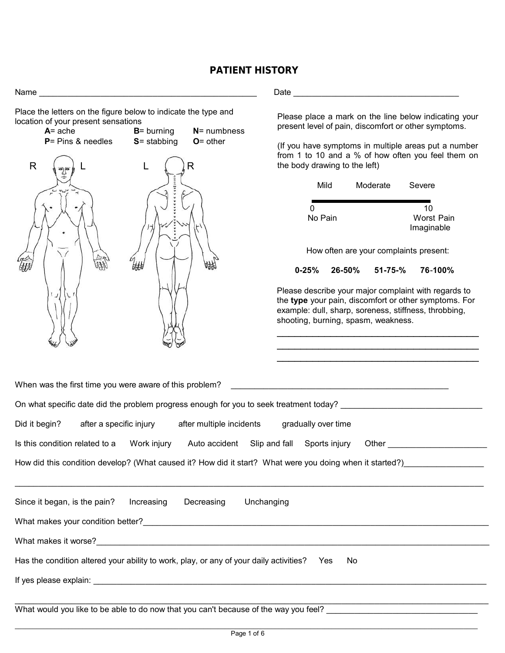#### **PATIENT HISTORY**

| Place the letters on the figure below to indicate the type and<br>location of your present sensations<br>$A = ache$<br>$P = Pins & needles$<br>$\mathsf{R}$ | $B =$ burning<br>$S =$ stabbing | $N =$ numbness<br>$O =$ other | the body drawing to the left)<br>Mild<br>0<br>No Pain<br>$0 - 25%$<br>shooting, burning, spasm, weakness. | 26-50% | Moderate<br>$51 - 75 - %$ | Please place a mark on the line below indicating your<br>present level of pain, discomfort or other symptoms.<br>(If you have symptoms in multiple areas put a number<br>from 1 to 10 and a % of how often you feel them on<br>Severe<br>10<br><b>Worst Pain</b><br>Imaginable<br>How often are your complaints present:<br>76-100%<br>Please describe your major complaint with regards to<br>the type your pain, discomfort or other symptoms. For<br>example: dull, sharp, soreness, stiffness, throbbing, |
|-------------------------------------------------------------------------------------------------------------------------------------------------------------|---------------------------------|-------------------------------|-----------------------------------------------------------------------------------------------------------|--------|---------------------------|---------------------------------------------------------------------------------------------------------------------------------------------------------------------------------------------------------------------------------------------------------------------------------------------------------------------------------------------------------------------------------------------------------------------------------------------------------------------------------------------------------------|
| When was the first time you were aware of this problem?                                                                                                     |                                 |                               | <u> 1980 - Johann Barbara, martxa alemaniar amerikan a</u>                                                |        |                           |                                                                                                                                                                                                                                                                                                                                                                                                                                                                                                               |
| On what specific date did the problem progress enough for you to seek treatment today?                                                                      |                                 |                               |                                                                                                           |        |                           |                                                                                                                                                                                                                                                                                                                                                                                                                                                                                                               |
| Did it begin?                                                                                                                                               | after a specific injury         | after multiple incidents      | gradually over time                                                                                       |        |                           |                                                                                                                                                                                                                                                                                                                                                                                                                                                                                                               |
| Is this condition related to a                                                                                                                              | Work injury                     | Auto accident Slip and fall   | Sports injury                                                                                             |        |                           | Other the contract of the contract of the contract of the contract of the contract of the contract of the contract of the contract of the contract of the contract of the contract of the contract of the contract of the cont                                                                                                                                                                                                                                                                                |
|                                                                                                                                                             |                                 |                               |                                                                                                           |        |                           |                                                                                                                                                                                                                                                                                                                                                                                                                                                                                                               |
| Since it began, is the pain?                                                                                                                                | Increasing                      | Decreasing<br>Unchanging      |                                                                                                           |        |                           |                                                                                                                                                                                                                                                                                                                                                                                                                                                                                                               |
|                                                                                                                                                             |                                 |                               |                                                                                                           |        |                           |                                                                                                                                                                                                                                                                                                                                                                                                                                                                                                               |
|                                                                                                                                                             |                                 |                               |                                                                                                           |        |                           |                                                                                                                                                                                                                                                                                                                                                                                                                                                                                                               |
| Has the condition altered your ability to work, play, or any of your daily activities? Yes                                                                  |                                 |                               |                                                                                                           | No     |                           |                                                                                                                                                                                                                                                                                                                                                                                                                                                                                                               |
|                                                                                                                                                             |                                 |                               |                                                                                                           |        |                           |                                                                                                                                                                                                                                                                                                                                                                                                                                                                                                               |
|                                                                                                                                                             |                                 |                               |                                                                                                           |        |                           |                                                                                                                                                                                                                                                                                                                                                                                                                                                                                                               |

What would you like to be able to do now that you can't because of the way you feel?  $\hbox{---}$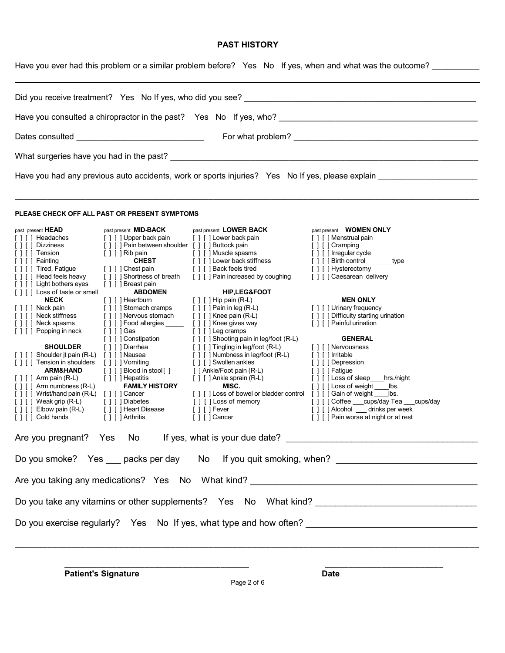#### **PAST HISTORY**

Have you ever had this problem or a similar problem before? Yes No If yes, when and what was the outcome?

| Dates consulted ___________________________________                                                                                                                                                                                                                                                                                                                                                                                                                                                                                                                                                                                                                                                                                                                                                                                                                                                                                                                                                                                                                                                                                                                                                                                                                                                                                                                                                                                                                                                                                                                                                                                                                                                                                                                                                                                                                                                                                                                       |                                                                                                                                                                                                                                                                                                                                                                                                                                                                                                                                                                                                                                    |  |  |  |  |  |  |  |  |
|---------------------------------------------------------------------------------------------------------------------------------------------------------------------------------------------------------------------------------------------------------------------------------------------------------------------------------------------------------------------------------------------------------------------------------------------------------------------------------------------------------------------------------------------------------------------------------------------------------------------------------------------------------------------------------------------------------------------------------------------------------------------------------------------------------------------------------------------------------------------------------------------------------------------------------------------------------------------------------------------------------------------------------------------------------------------------------------------------------------------------------------------------------------------------------------------------------------------------------------------------------------------------------------------------------------------------------------------------------------------------------------------------------------------------------------------------------------------------------------------------------------------------------------------------------------------------------------------------------------------------------------------------------------------------------------------------------------------------------------------------------------------------------------------------------------------------------------------------------------------------------------------------------------------------------------------------------------------------|------------------------------------------------------------------------------------------------------------------------------------------------------------------------------------------------------------------------------------------------------------------------------------------------------------------------------------------------------------------------------------------------------------------------------------------------------------------------------------------------------------------------------------------------------------------------------------------------------------------------------------|--|--|--|--|--|--|--|--|
|                                                                                                                                                                                                                                                                                                                                                                                                                                                                                                                                                                                                                                                                                                                                                                                                                                                                                                                                                                                                                                                                                                                                                                                                                                                                                                                                                                                                                                                                                                                                                                                                                                                                                                                                                                                                                                                                                                                                                                           |                                                                                                                                                                                                                                                                                                                                                                                                                                                                                                                                                                                                                                    |  |  |  |  |  |  |  |  |
| Have you had any previous auto accidents, work or sports injuries? Yes No If yes, please explain                                                                                                                                                                                                                                                                                                                                                                                                                                                                                                                                                                                                                                                                                                                                                                                                                                                                                                                                                                                                                                                                                                                                                                                                                                                                                                                                                                                                                                                                                                                                                                                                                                                                                                                                                                                                                                                                          |                                                                                                                                                                                                                                                                                                                                                                                                                                                                                                                                                                                                                                    |  |  |  |  |  |  |  |  |
| PLEASE CHECK OFF ALL PAST OR PRESENT SYMPTOMS                                                                                                                                                                                                                                                                                                                                                                                                                                                                                                                                                                                                                                                                                                                                                                                                                                                                                                                                                                                                                                                                                                                                                                                                                                                                                                                                                                                                                                                                                                                                                                                                                                                                                                                                                                                                                                                                                                                             |                                                                                                                                                                                                                                                                                                                                                                                                                                                                                                                                                                                                                                    |  |  |  |  |  |  |  |  |
| past present <b>MID-BACK</b><br>past present LOWER BACK<br>past_present <b>HEAD</b><br>[][]Headaches<br>[ ] [ ] Upper back pain<br>[ ] [ ] Lower back pain<br>[ ] [ ] Pain between shoulder [ ] [ ] Buttock pain<br>[ ] [ ] Dizziness<br>[ ] [ ] Rib pain<br>[ ] [ ] Tension<br>[ ] [ ] Muscle spasms<br><b>CHEST</b><br>[ ] [ ] Lower back stiffness<br>[ ] [ ] Fainting<br>[ ] [ ] Tired, Fatigue<br>[ ] [ ] Back feels tired<br>[ ] [ ] Chest pain<br>[ ] [ ] Head feels heavy<br>[ ] [ ] Shortness of breath<br>[ ] [ ] Pain increased by coughing<br>[ ] [ ] Light bothers eyes<br>[ ] [ ] Breast pain<br><b>ABDOMEN</b><br>[ ] [ ] Loss of taste or smell<br><b>HIP,LEG&amp;FOOT</b><br><b>NECK</b><br>$[ ] [ ]$ Hip pain (R-L)<br>[ ] [ ] Heartburn<br>[ ] [ ] Pain in leg (R-L)<br>[ ] [ ] Stomach cramps<br>[ ] [ ] Neck pain<br>[ ] [ ] Nervous stomach<br>[ ] [ ] Neck stiffness<br>$[ ] [ ]$ Knee pain $(R-L)$<br>[ ] [ ] Food allergies _____<br>[ ] [ ] Knee gives way<br>[ ] [ ] Neck spasms<br>[ ] [ ] Popping in neck<br>[ ] [ ] Leg cramps<br>[ ] [ ] Gas<br>[ ] [ ] Shooting pain in leg/foot (R-L)<br>[][]Constipation<br><b>SHOULDER</b><br>[ ] [ ] Diarrhea<br>[ ] [ ] Tingling in leg/foot (R-L)<br>[ ] [ ] Shoulder jt pain (R-L) [ ] [ ] Nausea<br>[ ] [ ] Numbness in leg/foot (R-L)<br>[ ] [ ] Swollen ankles<br>[ ] [ ] Tension in shoulders<br>[ ] [ ] Vomiting<br>[ ] [ ] Blood in stool[ ]<br><b>ARM&amp;HAND</b><br>[ ] Ankle/Foot pain (R-L)<br>[ ] [ ] Hepatitis<br>[ ] [ ] Ankle sprain (R-L)<br>$[ ] [ ]$ Arm pain (R-L)<br><b>FAMILY HISTORY</b><br>MISC.<br>$[ ] [ ]$ Arm numbness $(R-L)$<br>[ ] [ ] Loss of bowel or bladder control [ ] [ ] Gain of weight bs.<br>[ ] [ ] Wrist/hand pain (R-L) [ ] [ ] Cancer<br>[ ] [ ] Loss of memory<br>$[ ] [ ]$ Weak grip $(R-L)$<br>[ ] [ ] Diabetes<br>$[ ] [ ]$ Elbow pain (R-L)<br>[ ] [ ] Fever<br>[ ] [ ] Heart Disease<br>[ ] [ ] Cold hands<br>[ ] [ ] Arthritis<br>[ ] [ ] Cancer | past present WOMEN ONLY<br>[ ] [ ] Menstrual pain<br>[ ] [ ] Cramping<br>[ ] [ ] Irregular cycle<br>[ ] [ ] Birth control _______<br>type<br>[ ] [ ] Hysterectomy<br>[ ] [ ] Caesarean delivery<br><b>MEN ONLY</b><br>[ ] [ ] Urinary frequency<br>[ ] [ ] Difficulty starting urination<br>[ ] [ ] Painful urination<br><b>GENERAL</b><br>[ ] [ ] Nervousness<br>[ ] [ ] Irritable<br>[ ] [ ] Depression<br>[ ] [ ] Fatigue<br>[ ] [ ] Loss of sleep____hrs./night<br>[ ] [ ] Loss of weight<br>lbs.<br>[ ] [ ] Coffee ___ cups/day Tea ___ cups/day<br>[ ] [ ] Alcohol drinks per week<br>[ ] [ ] Pain worse at night or at rest |  |  |  |  |  |  |  |  |
| Are you pregnant? Yes<br>If yes, what is your due date?<br>No.                                                                                                                                                                                                                                                                                                                                                                                                                                                                                                                                                                                                                                                                                                                                                                                                                                                                                                                                                                                                                                                                                                                                                                                                                                                                                                                                                                                                                                                                                                                                                                                                                                                                                                                                                                                                                                                                                                            |                                                                                                                                                                                                                                                                                                                                                                                                                                                                                                                                                                                                                                    |  |  |  |  |  |  |  |  |
| Do you smoke? Yes ___ packs per day No If you quit smoking, when? _________________________________                                                                                                                                                                                                                                                                                                                                                                                                                                                                                                                                                                                                                                                                                                                                                                                                                                                                                                                                                                                                                                                                                                                                                                                                                                                                                                                                                                                                                                                                                                                                                                                                                                                                                                                                                                                                                                                                       |                                                                                                                                                                                                                                                                                                                                                                                                                                                                                                                                                                                                                                    |  |  |  |  |  |  |  |  |
|                                                                                                                                                                                                                                                                                                                                                                                                                                                                                                                                                                                                                                                                                                                                                                                                                                                                                                                                                                                                                                                                                                                                                                                                                                                                                                                                                                                                                                                                                                                                                                                                                                                                                                                                                                                                                                                                                                                                                                           |                                                                                                                                                                                                                                                                                                                                                                                                                                                                                                                                                                                                                                    |  |  |  |  |  |  |  |  |
| Do you take any vitamins or other supplements? Yes No What kind? __________________________________                                                                                                                                                                                                                                                                                                                                                                                                                                                                                                                                                                                                                                                                                                                                                                                                                                                                                                                                                                                                                                                                                                                                                                                                                                                                                                                                                                                                                                                                                                                                                                                                                                                                                                                                                                                                                                                                       |                                                                                                                                                                                                                                                                                                                                                                                                                                                                                                                                                                                                                                    |  |  |  |  |  |  |  |  |
|                                                                                                                                                                                                                                                                                                                                                                                                                                                                                                                                                                                                                                                                                                                                                                                                                                                                                                                                                                                                                                                                                                                                                                                                                                                                                                                                                                                                                                                                                                                                                                                                                                                                                                                                                                                                                                                                                                                                                                           |                                                                                                                                                                                                                                                                                                                                                                                                                                                                                                                                                                                                                                    |  |  |  |  |  |  |  |  |

**Patient's Signature Date** 

 **\_\_\_\_\_\_\_\_\_\_\_\_\_\_\_\_\_\_\_\_\_\_\_\_\_\_\_\_\_\_\_\_\_\_\_\_\_\_\_ \_\_\_\_\_\_\_\_\_\_\_\_\_\_\_\_\_\_\_\_\_\_\_\_\_**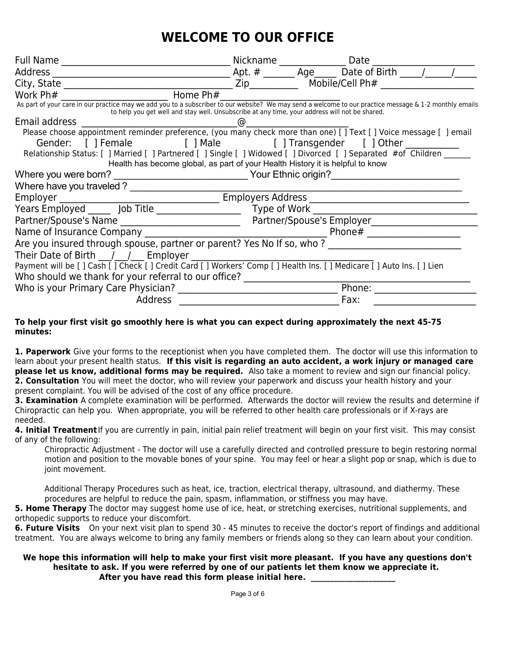# **WELCOME TO OUR OFFICE**

| Full Name                                                                                                                                                                                                                                               | Nickname     |                           | Date                            |  |  |  |  |
|---------------------------------------------------------------------------------------------------------------------------------------------------------------------------------------------------------------------------------------------------------|--------------|---------------------------|---------------------------------|--|--|--|--|
| Address                                                                                                                                                                                                                                                 | Apt. $#$     | Age                       | Date of Birth                   |  |  |  |  |
| City, State                                                                                                                                                                                                                                             | Zip          |                           | Mobile/Cell $Ph#$               |  |  |  |  |
| Home Ph#<br>Work Ph#                                                                                                                                                                                                                                    |              |                           |                                 |  |  |  |  |
| As part of your care in our practice may we add you to a subscriber to our website? We may send a welcome to our practice message & 1-2 monthly emails<br>to help you get well and stay well. Unsubscribe at any time, your address will not be shared. |              |                           |                                 |  |  |  |  |
| Email address                                                                                                                                                                                                                                           |              |                           |                                 |  |  |  |  |
| Please choose appointment reminder preference, (you many check more than one) [ ] Text [ ] Voice message [ ] email                                                                                                                                      |              |                           |                                 |  |  |  |  |
| [ ] Female<br>Gender:                                                                                                                                                                                                                                   |              |                           | [] Male [] Transgender [] Other |  |  |  |  |
| Relationship Status: [ ] Married [ ] Partnered [ ] Single [ ] Widowed [ ] Divorced [ ] Separated #of Children                                                                                                                                           |              |                           |                                 |  |  |  |  |
| Health has become global, as part of your Health History it is helpful to know                                                                                                                                                                          |              |                           |                                 |  |  |  |  |
| Where you were born?                                                                                                                                                                                                                                    |              | Your Ethnic origin?       |                                 |  |  |  |  |
|                                                                                                                                                                                                                                                         |              |                           |                                 |  |  |  |  |
| Employers Address<br>Employer                                                                                                                                                                                                                           |              |                           |                                 |  |  |  |  |
| Years Employed ______ Job Title _________________                                                                                                                                                                                                       | Type of Work |                           |                                 |  |  |  |  |
|                                                                                                                                                                                                                                                         |              | Partner/Spouse's Employer |                                 |  |  |  |  |
| Name of Insurance Company                                                                                                                                                                                                                               |              | Phone#                    |                                 |  |  |  |  |
| Are you insured through spouse, partner or parent? Yes No If so, who?                                                                                                                                                                                   |              |                           |                                 |  |  |  |  |
| Their Date of Birth / / Employer                                                                                                                                                                                                                        |              |                           |                                 |  |  |  |  |
| Payment will be [ ] Cash [ ] Check [ ] Credit Card [ ] Workers' Comp [ ] Health Ins. [ ] Medicare [ ] Auto Ins. [ ] Lien                                                                                                                                |              |                           |                                 |  |  |  |  |
| Who should we thank for your referral to our office?                                                                                                                                                                                                    |              |                           |                                 |  |  |  |  |
| Who is your Primary Care Physician?                                                                                                                                                                                                                     |              |                           | Phone:                          |  |  |  |  |
| <b>Address</b>                                                                                                                                                                                                                                          |              |                           | Fax:                            |  |  |  |  |
|                                                                                                                                                                                                                                                         |              |                           |                                 |  |  |  |  |

#### **To help your first visit go smoothly here is what you can expect during approximately the next 45-75 minutes:**

**1. Paperwork** Give your forms to the receptionist when you have completed them. The doctor will use this information to learn about your present health status. **If this visit is regarding an auto accident, a work injury or managed care please let us know, additional forms may be required.** Also take a moment to review and sign our financial policy. **2. Consultation** You will meet the doctor, who will review your paperwork and discuss your health history and your present complaint. You will be advised of the cost of any office procedure.

**3. Examination** A complete examination will be performed. Afterwards the doctor will review the results and determine if Chiropractic can help you. When appropriate, you will be referred to other health care professionals or if X-rays are needed.

**4. Initial Treatment** If you are currently in pain, initial pain relief treatment will begin on your first visit. This may consist of any of the following:

Chiropractic Adjustment - The doctor will use a carefully directed and controlled pressure to begin restoring normal motion and position to the movable bones of your spine. You may feel or hear a slight pop or snap, which is due to joint movement.

Additional Therapy Procedures such as heat, ice, traction, electrical therapy, ultrasound, and diathermy. These procedures are helpful to reduce the pain, spasm, inflammation, or stiffness you may have.

**5. Home Therapy** The doctor may suggest home use of ice, heat, or stretching exercises, nutritional supplements, and orthopedic supports to reduce your discomfort.

**6. Future Visits** On your next visit plan to spend 30 - 45 minutes to receive the doctor's report of findings and additional treatment. You are always welcome to bring any family members or friends along so they can learn about your condition.

#### **We hope this information will help to make your first visit more pleasant. If you have any questions don't hesitate to ask. If you were referred by one of our patients let them know we appreciate it.**  After you have read this form please initial here.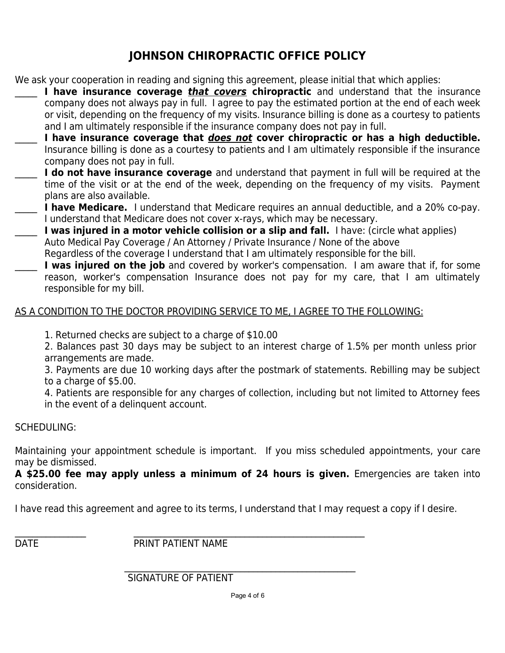# **JOHNSON CHIROPRACTIC OFFICE POLICY**

We ask your cooperation in reading and signing this agreement, please initial that which applies:

- **I have insurance coverage** *that covers* **chiropractic** and understand that the insurance company does not always pay in full. I agree to pay the estimated portion at the end of each week or visit, depending on the frequency of my visits. Insurance billing is done as a courtesy to patients and I am ultimately responsible if the insurance company does not pay in full.
- \_\_\_\_\_ **I have insurance coverage that does not cover chiropractic or has a high deductible.** Insurance billing is done as a courtesy to patients and I am ultimately responsible if the insurance company does not pay in full.
- **I do not have insurance coverage** and understand that payment in full will be required at the time of the visit or at the end of the week, depending on the frequency of my visits. Payment plans are also available.
- **I have Medicare.** I understand that Medicare requires an annual deductible, and a 20% co-pay. I understand that Medicare does not cover x-rays, which may be necessary.
- I was injured in a motor vehicle collision or a slip and fall. I have: (circle what applies) Auto Medical Pay Coverage / An Attorney / Private Insurance / None of the above
	- Regardless of the coverage I understand that I am ultimately responsible for the bill.
- I was injured on the job and covered by worker's compensation. I am aware that if, for some reason, worker's compensation Insurance does not pay for my care, that I am ultimately responsible for my bill.

## AS A CONDITION TO THE DOCTOR PROVIDING SERVICE TO ME, I AGREE TO THE FOLLOWING:

- 1. Returned checks are subject to a charge of \$10.00
- 2. Balances past 30 days may be subject to an interest charge of 1.5% per month unless prior arrangements are made.
- 3. Payments are due 10 working days after the postmark of statements. Rebilling may be subject to a charge of \$5.00.
- 4. Patients are responsible for any charges of collection, including but not limited to Attorney fees in the event of a delinquent account.

## SCHEDULING:

Maintaining your appointment schedule is important. If you miss scheduled appointments, your care may be dismissed.

**A \$25.00 fee may apply unless a minimum of 24 hours is given.** Emergencies are taken into consideration.

I have read this agreement and agree to its terms, I understand that I may request a copy if I desire.

\_\_\_\_\_\_\_\_\_\_\_\_\_\_\_\_ \_\_\_\_\_\_\_\_\_\_\_\_\_\_\_\_\_\_\_\_\_\_\_\_\_\_\_\_\_\_\_\_\_\_\_\_\_\_\_\_\_\_\_\_\_\_\_\_\_\_\_\_ DATE PRINT PATIENT NAME

SIGNATURE OF PATIENT

 $\mathcal{L}_\text{max} = \mathcal{L}_\text{max} = \mathcal{L}_\text{max} = \mathcal{L}_\text{max} = \mathcal{L}_\text{max} = \mathcal{L}_\text{max} = \mathcal{L}_\text{max} = \mathcal{L}_\text{max} = \mathcal{L}_\text{max} = \mathcal{L}_\text{max} = \mathcal{L}_\text{max} = \mathcal{L}_\text{max} = \mathcal{L}_\text{max} = \mathcal{L}_\text{max} = \mathcal{L}_\text{max} = \mathcal{L}_\text{max} = \mathcal{L}_\text{max} = \mathcal{L}_\text{max} = \mathcal{$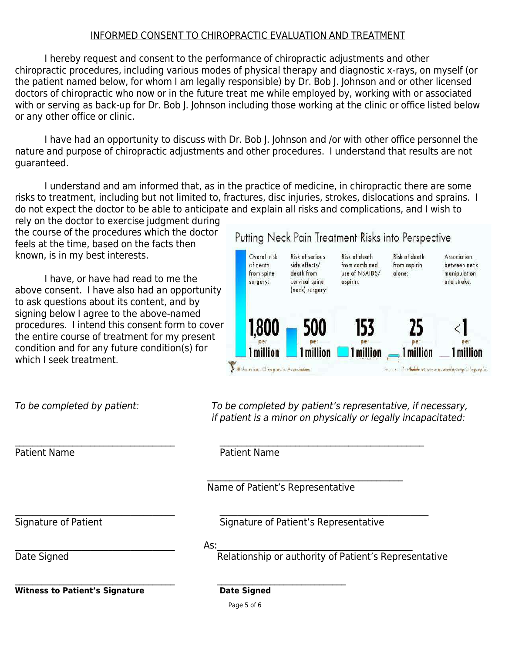### INFORMED CONSENT TO CHIROPRACTIC EVALUATION AND TREATMENT

I hereby request and consent to the performance of chiropractic adjustments and other chiropractic procedures, including various modes of physical therapy and diagnostic x-rays, on myself (or the patient named below, for whom I am legally responsible) by Dr. Bob J. Johnson and or other licensed doctors of chiropractic who now or in the future treat me while employed by, working with or associated with or serving as back-up for Dr. Bob J. Johnson including those working at the clinic or office listed below or any other office or clinic.

I have had an opportunity to discuss with Dr. Bob J. Johnson and /or with other office personnel the nature and purpose of chiropractic adjustments and other procedures. I understand that results are not guaranteed.

I understand and am informed that, as in the practice of medicine, in chiropractic there are some risks to treatment, including but not limited to, fractures, disc injuries, strokes, dislocations and sprains. I do not expect the doctor to be able to anticipate and explain all risks and complications, and I wish to

rely on the doctor to exercise judgment during the course of the procedures which the doctor feels at the time, based on the facts then known, is in my best interests.

I have, or have had read to me the above consent. I have also had an opportunity to ask questions about its content, and by signing below I agree to the above-named procedures. I intend this consent form to cover the entire course of treatment for my present condition and for any future condition(s) for which I seek treatment.

## Putting Neck Pain Treatment Risks into Perspective



To be completed by patient: To be completed by patient's representative, if necessary, if patient is a minor on physically or legally incapacitated:

 $\mathcal{L}_\text{max}$  , and the contribution of the contribution of the contribution of the contribution of the contribution of the contribution of the contribution of the contribution of the contribution of the contribution of t Patient Name **Patient Name** 

 $\frac{1}{\sqrt{2}}$  ,  $\frac{1}{\sqrt{2}}$  ,  $\frac{1}{\sqrt{2}}$  ,  $\frac{1}{\sqrt{2}}$  ,  $\frac{1}{\sqrt{2}}$  ,  $\frac{1}{\sqrt{2}}$  ,  $\frac{1}{\sqrt{2}}$  ,  $\frac{1}{\sqrt{2}}$  ,  $\frac{1}{\sqrt{2}}$  ,  $\frac{1}{\sqrt{2}}$  ,  $\frac{1}{\sqrt{2}}$  ,  $\frac{1}{\sqrt{2}}$  ,  $\frac{1}{\sqrt{2}}$  ,  $\frac{1}{\sqrt{2}}$  ,  $\frac{1}{\sqrt{2}}$ Name of Patient's Representative

\_\_\_\_\_\_\_\_\_\_\_\_\_\_\_\_\_\_\_\_\_\_\_\_\_\_\_\_\_\_\_\_\_\_\_\_ \_\_\_\_\_\_\_\_\_\_\_\_\_\_\_\_\_\_\_\_\_\_\_\_\_\_\_\_\_\_\_\_\_\_\_\_\_\_\_\_\_\_\_\_\_\_\_ Signature of Patient Signature of Patient's Representative

 $\mathsf{As:}\quad$ 

 $\mathcal{L}_\text{max}$  , and the contribution of the contribution of the contribution of the contribution of the contribution of the contribution of the contribution of the contribution of the contribution of the contribution of t

Date Signed **Relationship or authority of Patient's Representative** 

**Witness to Patient's Signature Date Signed** 

Page 5 of 6